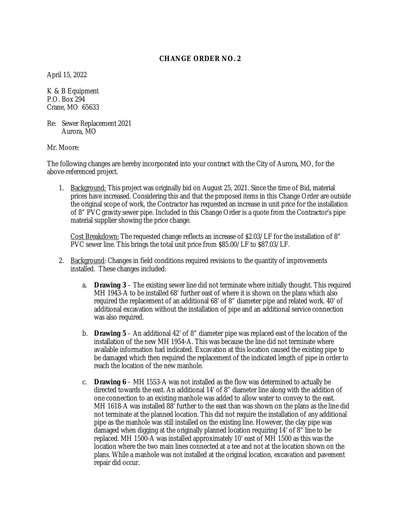#### **CHANGE ORDER NO. 2**

April 15, 2022

K & B Equipment P.O. Box 294 Crane, MO 65633

Re: Sewer Replacement 2021 Aurora, MO

Mr. Moore:

The following changes are hereby incorporated into your contract with the City of Aurora, MO, for the above-referenced project.

1. Background: This project was originally bid on August 25, 2021. Since the time of Bid, material prices have increased. Considering this and that the proposed items in this Change Order are outside the original scope of work, the Contractor has requested an increase in unit price for the installation of 8" PVC gravity sewer pipe. Included in this Change Order is a quote from the Contractor's pipe material supplier showing the price change.

Cost Breakdown: The requested change reflects an increase of \$2.03/LF for the installation of 8" PVC sewer line. This brings the total unit price from \$85.00/LF to \$87.03/LF.

- 2. Background: Changes in field conditions required revisions to the quantity of improvements installed. These changes included:
	- a. **Drawing 3** The existing sewer line did not terminate where initially thought. This required MH 1943-A to be installed 68' further east of where it is shown on the plans which also required the replacement of an additional 68' of 8" diameter pipe and related work. 40' of additional excavation without the installation of pipe and an additional service connection was also required.
	- b. **Drawing 5** An additional 42' of 8" diameter pipe was replaced east of the location of the installation of the new MH 1954-A. This was because the line did not terminate where available information had indicated. Excavation at this location caused the existing pipe to be damaged which then required the replacement of the indicated length of pipe in order to reach the location of the new manhole.
	- c. **Drawing 6** MH 1553-A was not installed as the flow was determined to actually be directed towards the east. An additional 14' of 8" diameter line along with the addition of one connection to an existing manhole was added to allow water to convey to the east. MH 1618-A was installed 88' further to the east than was shown on the plans as the line did not terminate at the planned location. This did not require the installation of any additional pipe as the manhole was still installed on the existing line. However, the clay pipe was damaged when digging at the originally planned location requiring 14' of 8" line to be replaced. MH 1500-A was installed approximately 10' east of MH 1500 as this was the location where the two main lines connected at a tee and not at the location shown on the plans. While a manhole was not installed at the original location, excavation and pavement repair did occur.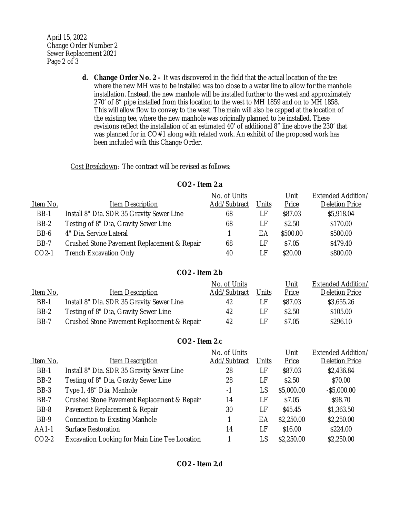April 15, 2022 Change Order Number 2 Sewer Replacement 2021 Page 2 of 3

> **d. Change Order No. 2 –** It was discovered in the field that the actual location of the tee where the new MH was to be installed was too close to a water line to allow for the manhole installation. Instead, the new manhole will be installed further to the west and approximately 270' of 8" pipe installed from this location to the west to MH 1859 and on to MH 1858. This will allow flow to convey to the west. The main will also be capped at the location of the existing tee, where the new manhole was originally planned to be installed. These revisions reflect the installation of an estimated 40' of additional 8" line above the 230' that was planned for in CO#1 along with related work. An exhibit of the proposed work has been included with this Change Order.

Cost Breakdown: The contract will be revised as follows:

**CO2 - Item 2.a**

|             |                                             | No. of Units |       | Unit     | <b>Extended Addition/</b> |
|-------------|---------------------------------------------|--------------|-------|----------|---------------------------|
| Item No.    | <b>Item Description</b>                     | Add/Subtract | Units | Price    | <b>Deletion Price</b>     |
| <b>BB-1</b> | Install 8" Dia. SDR 35 Gravity Sewer Line   | 68           | LF    | \$87.03  | \$5,918.04                |
| BB-2        | Testing of 8" Dia, Gravity Sewer Line       | 68           | LF    | \$2.50   | \$170.00                  |
| BB-6        | 4" Dia. Service Lateral                     |              | EА    | \$500.00 | \$500.00                  |
| <b>BB-7</b> | Crushed Stone Pavement Replacement & Repair | 68           | LF    | \$7.05   | \$479.40                  |
| $CO2-1$     | <b>Trench Excavation Only</b>               | 40           | l F   | \$20.00  | \$800.00                  |

### **CO2 - Item 2.b**

| Item No.    | <b>Item Description</b>                     | No. of Units<br>Add/Subtract | Units | <u>Unit</u><br>Price | Extended Addition/<br><b>Deletion Price</b> |
|-------------|---------------------------------------------|------------------------------|-------|----------------------|---------------------------------------------|
|             |                                             |                              |       |                      |                                             |
| <b>BB-1</b> | Install 8" Dia. SDR 35 Gravity Sewer Line   | 42                           | I E   | \$87.03              | \$3,655.26                                  |
| BB-2        | Testing of 8" Dia, Gravity Sewer Line       | 42                           | I F   | \$2.50               | \$105.00                                    |
| BB-7        | Crushed Stone Pavement Replacement & Repair | 42                           | ΙF    | \$7.05               | \$296.10                                    |

### **CO2 - Item 2.c**

|                                               |              | No. of Units |            | Extended Addition/    |  |
|-----------------------------------------------|--------------|--------------|------------|-----------------------|--|
| Item Description                              | Add/Subtract | Units        | Price      | <b>Deletion Price</b> |  |
| Install 8" Dia. SDR 35 Gravity Sewer Line     | 28           | LF           | \$87.03    | \$2,436.84            |  |
| Testing of 8" Dia, Gravity Sewer Line<br>BB-2 |              | \$2.50<br>LF |            | \$70.00               |  |
| Type I, 48" Dia. Manhole                      | -1           | LS           | \$5,000.00 | $-$ \$5,000.00        |  |
| Crushed Stone Pavement Replacement & Repair   | 14           | LF           | \$7.05     | \$98.70               |  |
| Pavement Replacement & Repair                 | 30           | LF           | \$45.45    | \$1,363.50            |  |
| <b>Connection to Existing Manhole</b>         |              | ЕA           | \$2,250.00 | \$2,250.00            |  |
| <b>Surface Restoration</b>                    | 14           | l F          | \$16.00    | \$224.00              |  |
| Excavation Looking for Main Line Tee Location |              | LS           | \$2,250.00 | \$2,250.00            |  |
|                                               |              | 28           |            | Unit                  |  |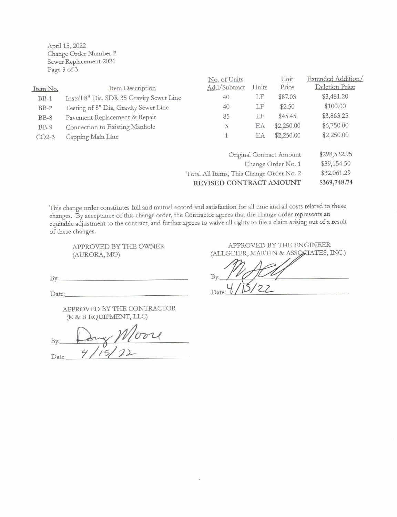April 15, 2022 Change Order Number 2 Sewer Replacement 2021 Page 3 of 3

|                          |                                           | No. of Units                             |             | Unit       | Extended Addition |
|--------------------------|-------------------------------------------|------------------------------------------|-------------|------------|-------------------|
| Item No.                 | Item Description                          | Add/Subtract                             | Units       | Price      | Deletion Price    |
| $BB-1$                   | Install 8" Dia. SDR 35 Gravity Sewer Line | 40                                       | LF          | \$87.03    | \$3,481.20        |
| $BB-2$                   | Testing of 8" Dia, Gravity Sewer Line     | 40                                       | LF          | \$2.50     | \$100.00          |
| $BB-8$                   | Pavement Replacement & Repair             | 85                                       | LF          | \$45.45    | \$3,863.25        |
| $BB-9$                   | Connection to Existing Manhole            | 3                                        | EA          | \$2,250.00 | \$6,750.00        |
| $CO2-3$                  | Capping Main Line                         | $\mathbf{1}$                             | EA          | \$2,250.00 | \$2,250.00        |
| Original Contract Amount |                                           |                                          |             |            | \$298,532.95      |
|                          |                                           | Change Order No. 1                       | \$39,154.50 |            |                   |
|                          |                                           | Total All Items, This Change Order No. 2 | \$32,061.29 |            |                   |
|                          |                                           | REVISED CONTRACT AMOUNT                  |             |            | \$369,748.74      |
|                          |                                           |                                          |             |            |                   |

This change order constitutes full and mutual accord and satisfaction for all time and all costs related to these changes. By acceptance of this change order, the Contractor agrees that the change order represents an equitable adjustment to the contract, and further agrees to waive all rights to file a claim arising out of a result of these changes.

APPROVED BY THE OWNER (AURORA, MO)

 $By:$ 

Date:

APPROVED BY THE CONTRACTOR (K & B EQUIPMENT, LLC)

y Wloore By: Date:

APPROVED BY THE ENGINEER (ALLGEIER, MARTIN & ASSOCIATES, INC.)

By:  $\overline{\mathcal{C}}$  $\overline{\phantom{0}}$ Date: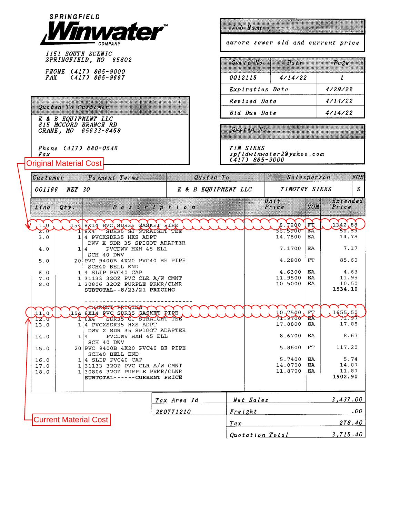

1151 SOUTH SCENIC<br>SPRINGFIELD, MO 65802

PHONE (417) 865-9000<br>FAX (417) 865-9667

# Quoted To Castomer ...

Original Material Cost

**K & B EQUIPMENT LLC<br>815 MCCORD BRANCH RD<br>CRANE, MO 65633-8459** 

Phone (417) 880-0546  $\frac{Fax}{}$ 

### Job Name

aurora sewer old and current price

| $Quote$ $No.$          | Date Page |  |  |  |  |
|------------------------|-----------|--|--|--|--|
| <i>0012115</i>         | 4/14/22   |  |  |  |  |
| <i>Expiration Date</i> | 4/29/22   |  |  |  |  |
| Revised Date           | 4/14/22   |  |  |  |  |
| Rid Due Date           | 4/14/22   |  |  |  |  |

(2001 (2012).<br>Album and album and album and album and album and album and album and album and album and album and album and 1999 - Personal Propinsi

TIM SIKES<br>spfldwinwater2Qyahoo.com<br>(417) 865-9000

|             | Payment Terms<br>Customer            |          |                                                                                                                                           | Quoted To |                     |         | Salesperson                  |                  |                                   |
|-------------|--------------------------------------|----------|-------------------------------------------------------------------------------------------------------------------------------------------|-----------|---------------------|---------|------------------------------|------------------|-----------------------------------|
|             | 001166                               | $NET$ 30 |                                                                                                                                           |           | K & B EQUIPMENT LLC |         | TIMOTHY SIKES                | S                |                                   |
|             | Line                                 | Qty.     | $D$ escription                                                                                                                            |           |                     |         | Unit<br>Price                | UOM              | Extended<br>$P$ rice              |
|             | 1.0                                  |          | 154 8X14 RVC SDR35 GASKET RIPE<br>SDR35 GJ STRAIGHT TEL<br>118X4                                                                          |           |                     |         | 8.72Q0<br>56.5900            | FŤ<br>EA.        | 1342,88<br>56.59                  |
|             | $\mathbf{z} \cdot \mathbf{z}$<br>3.0 | 1        | 4 PVCXSDR35 HXS ADPT                                                                                                                      |           |                     |         | 14.7800                      | EA               | 14.78                             |
|             | 4.0                                  |          | DWV X SDR 35 SPIGOT ADAPTER<br>PVCDWV HXH 45 ELL<br>1 4<br>SCH 40 DWV                                                                     |           |                     |         | 7.1700                       | EA               | 7.17                              |
|             | 5.0                                  |          | 20 PVC 9400B 4X20 PVC40 BE PIPE                                                                                                           |           |                     |         | 4.2800                       | FT               | 85.60                             |
|             | 6.0<br>7.0<br>8.0                    |          | SCH40 BELL END<br>$1 4$ SLIP PVC40 CAP<br>$1 31133$ 320Z PVC CLR A/W CMNT<br>$1 30806$ 320Z PURPLE PRMR/CLNR<br>SUBTOTAL--8/23/21 PRICING |           |                     |         | 4.6300<br>11.9500<br>10.5000 | EA<br>EA<br>EA   | 4.63<br>11.95<br>10.50<br>1534.10 |
|             | 11.0                                 |          | <b>CURRENT BRIGING</b><br>154 axı4 PVC SDR35 GAŞKET PIRE                                                                                  |           |                     |         | 10,7500                      | FT               | 1655.50                           |
|             | 12.7<br>13.0                         |          | SDR35 GJ STRAIGHT TEE<br>T8X4<br>1 4 PVCXSDR35 HXS ADPT<br>DWV X SDR 35 SPIGOT ADAPTER                                                    |           |                     |         | $7 - 3700$<br>17.8800        | HÂ<br>EA         | $\rightarrow$<br>17.88            |
|             | 14.0                                 |          | PVCDWV HXH 45 ELL<br>1 4<br>SCH 40 DWV                                                                                                    |           |                     |         | 8.6700                       | EA               | 8.67                              |
|             | 15.0                                 |          | 20 PVC 9400B 4X20 PVC40 BE PIPE<br>SCH40 BELL END                                                                                         |           |                     |         | 5.8600                       | FT               | 117.20                            |
|             | 16.0                                 |          | $1 4$ SLIP PVC40 CAP<br>$1 31133$ 320Z PVC CLR A/W CMNT                                                                                   |           |                     |         | 5.7400<br>14.0700            | EA<br>EA         | 5.74<br>14.07                     |
|             | 17.0<br>18.0                         |          | $1 30806$ 320Z PURPLE PRMR/CLNR<br>SUBTOTAL------CURRENT PRICE                                                                            |           |                     | 11.8700 | EA                           | 11.87<br>1902.90 |                                   |
| Tax Area Id |                                      |          |                                                                                                                                           |           | Net Sales           |         |                              | 3,437.00         |                                   |
|             | <b>Current Material Cost</b>         |          |                                                                                                                                           | 260771210 |                     | Freight |                              |                  | $.00\,$                           |
|             |                                      |          |                                                                                                                                           |           | Tax                 |         |                              |                  | 278.40                            |
|             |                                      |          |                                                                                                                                           |           |                     |         | Quotation Total              |                  |                                   |